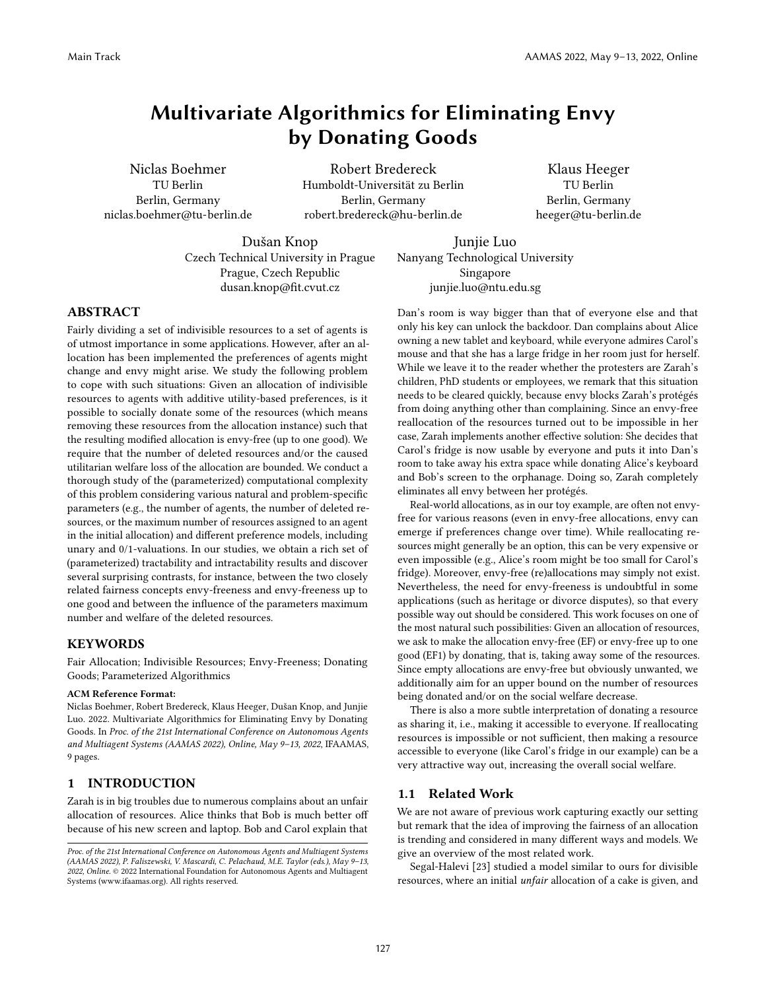# Multivariate Algorithmics for Eliminating Envy by Donating Goods

Niclas Boehmer TU Berlin Berlin, Germany niclas.boehmer@tu-berlin.de

Robert Bredereck Humboldt-Universität zu Berlin Berlin, Germany robert.bredereck@hu-berlin.de

Klaus Heeger TU Berlin Berlin, Germany heeger@tu-berlin.de

Dušan Knop Czech Technical University in Prague Prague, Czech Republic dusan.knop@fit.cvut.cz

Junjie Luo Nanyang Technological University Singapore junjie.luo@ntu.edu.sg

# ABSTRACT

Fairly dividing a set of indivisible resources to a set of agents is of utmost importance in some applications. However, after an allocation has been implemented the preferences of agents might change and envy might arise. We study the following problem to cope with such situations: Given an allocation of indivisible resources to agents with additive utility-based preferences, is it possible to socially donate some of the resources (which means removing these resources from the allocation instance) such that the resulting modified allocation is envy-free (up to one good). We require that the number of deleted resources and/or the caused utilitarian welfare loss of the allocation are bounded. We conduct a thorough study of the (parameterized) computational complexity of this problem considering various natural and problem-specific parameters (e.g., the number of agents, the number of deleted resources, or the maximum number of resources assigned to an agent in the initial allocation) and different preference models, including unary and 0/1-valuations. In our studies, we obtain a rich set of (parameterized) tractability and intractability results and discover several surprising contrasts, for instance, between the two closely related fairness concepts envy-freeness and envy-freeness up to one good and between the influence of the parameters maximum number and welfare of the deleted resources.

## KEYWORDS

Fair Allocation; Indivisible Resources; Envy-Freeness; Donating Goods; Parameterized Algorithmics

#### ACM Reference Format:

Niclas Boehmer, Robert Bredereck, Klaus Heeger, Dušan Knop, and Junjie Luo. 2022. Multivariate Algorithmics for Eliminating Envy by Donating Goods. In Proc. of the 21st International Conference on Autonomous Agents and Multiagent Systems (AAMAS 2022), Online, May 9–13, 2022, IFAAMAS, [9](#page-8-0) pages.

# 1 INTRODUCTION

Zarah is in big troubles due to numerous complains about an unfair allocation of resources. Alice thinks that Bob is much better off because of his new screen and laptop. Bob and Carol explain that Dan's room is way bigger than that of everyone else and that only his key can unlock the backdoor. Dan complains about Alice owning a new tablet and keyboard, while everyone admires Carol's mouse and that she has a large fridge in her room just for herself. While we leave it to the reader whether the protesters are Zarah's children, PhD students or employees, we remark that this situation needs to be cleared quickly, because envy blocks Zarah's protégés from doing anything other than complaining. Since an envy-free reallocation of the resources turned out to be impossible in her case, Zarah implements another effective solution: She decides that Carol's fridge is now usable by everyone and puts it into Dan's room to take away his extra space while donating Alice's keyboard and Bob's screen to the orphanage. Doing so, Zarah completely eliminates all envy between her protégés.

Real-world allocations, as in our toy example, are often not envyfree for various reasons (even in envy-free allocations, envy can emerge if preferences change over time). While reallocating resources might generally be an option, this can be very expensive or even impossible (e.g., Alice's room might be too small for Carol's fridge). Moreover, envy-free (re)allocations may simply not exist. Nevertheless, the need for envy-freeness is undoubtful in some applications (such as heritage or divorce disputes), so that every possible way out should be considered. This work focuses on one of the most natural such possibilities: Given an allocation of resources, we ask to make the allocation envy-free (EF) or envy-free up to one good (EF1) by donating, that is, taking away some of the resources. Since empty allocations are envy-free but obviously unwanted, we additionally aim for an upper bound on the number of resources being donated and/or on the social welfare decrease.

There is also a more subtle interpretation of donating a resource as sharing it, i.e., making it accessible to everyone. If reallocating resources is impossible or not sufficient, then making a resource accessible to everyone (like Carol's fridge in our example) can be a very attractive way out, increasing the overall social welfare.

#### 1.1 Related Work

We are not aware of previous work capturing exactly our setting but remark that the idea of improving the fairness of an allocation is trending and considered in many different ways and models. We give an overview of the most related work.

Segal-Halevi [\[23\]](#page-8-1) studied a model similar to ours for divisible resources, where an initial unfair allocation of a cake is given, and

Proc. of the 21st International Conference on Autonomous Agents and Multiagent Systems (AAMAS 2022), P. Faliszewski, V. Mascardi, C. Pelachaud, M.E. Taylor (eds.), May 9–13, 2022, Online. © 2022 International Foundation for Autonomous Agents and Multiagent Systems (www.ifaamas.org). All rights reserved.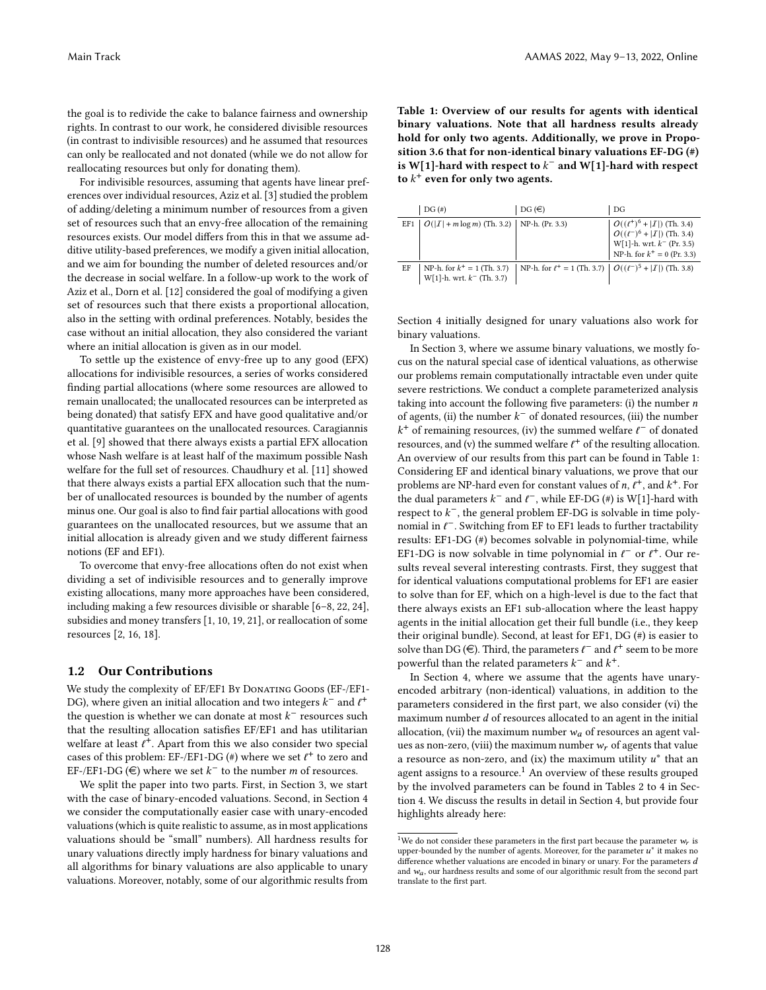the goal is to redivide the cake to balance fairness and ownership rights. In contrast to our work, he considered divisible resources (in contrast to indivisible resources) and he assumed that resources can only be reallocated and not donated (while we do not allow for reallocating resources but only for donating them).

For indivisible resources, assuming that agents have linear preferences over individual resources, Aziz et al. [\[3\]](#page-8-2) studied the problem of adding/deleting a minimum number of resources from a given set of resources such that an envy-free allocation of the remaining resources exists. Our model differs from this in that we assume additive utility-based preferences, we modify a given initial allocation, and we aim for bounding the number of deleted resources and/or the decrease in social welfare. In a follow-up work to the work of Aziz et al., Dorn et al. [\[12\]](#page-8-3) considered the goal of modifying a given set of resources such that there exists a proportional allocation, also in the setting with ordinal preferences. Notably, besides the case without an initial allocation, they also considered the variant where an initial allocation is given as in our model.

To settle up the existence of envy-free up to any good (EFX) allocations for indivisible resources, a series of works considered finding partial allocations (where some resources are allowed to remain unallocated; the unallocated resources can be interpreted as being donated) that satisfy EFX and have good qualitative and/or quantitative guarantees on the unallocated resources. Caragiannis et al. [\[9\]](#page-8-4) showed that there always exists a partial EFX allocation whose Nash welfare is at least half of the maximum possible Nash welfare for the full set of resources. Chaudhury et al. [\[11\]](#page-8-5) showed that there always exists a partial EFX allocation such that the number of unallocated resources is bounded by the number of agents minus one. Our goal is also to find fair partial allocations with good guarantees on the unallocated resources, but we assume that an initial allocation is already given and we study different fairness notions (EF and EF1).

To overcome that envy-free allocations often do not exist when dividing a set of indivisible resources and to generally improve existing allocations, many more approaches have been considered, including making a few resources divisible or sharable [\[6–](#page-8-6)[8,](#page-8-7) [22,](#page-8-8) [24\]](#page-8-9), subsidies and money transfers [\[1,](#page-8-10) [10,](#page-8-11) [19,](#page-8-12) [21\]](#page-8-13), or reallocation of some resources [\[2,](#page-8-14) [16,](#page-8-15) [18\]](#page-8-16).

## 1.2 Our Contributions

We study the complexity of EF/EF1 By DONATING GOODS (EF-/EF1-DG), where given an initial allocation and two integers  $k^-$  and  $\ell^+$ the question is whether we can donate at most  $k^-$  resources such that the resulting allocation satisfies EF/EF1 and has utilitarian welfare at least  $\ell^+$ . Apart from this we also consider two special cases of this problem: EF-/EF1-DG (#) where we set  $\ell^+$  to zero and EF-/EF1-DG  $\widehat{(\in)}$  where we set  $k^-$  to the number *m* of resources.

We split the paper into two parts. First, in Section [3,](#page-2-0) we start with the case of binary-encoded valuations. Second, in Section [4](#page-4-0) we consider the computationally easier case with unary-encoded valuations (which is quite realistic to assume, as in most applications valuations should be "small" numbers). All hardness results for unary valuations directly imply hardness for binary valuations and all algorithms for binary valuations are also applicable to unary valuations. Moreover, notably, some of our algorithmic results from <span id="page-1-0"></span>Table 1: Overview of our results for agents with identical binary valuations. Note that all hardness results already hold for only two agents. Additionally, we prove in Proposition [3.6](#page-4-1) that for non-identical binary valuations EF-DG (#) is W[1]-hard with respect to  $k^-$  and W[1]-hard with respect to  $k^+$  even for only two agents.

|     | DG(#)                                                            | $DG(\epsilon)$                                                                  | DG                                                                                                                                                                                                                                          |
|-----|------------------------------------------------------------------|---------------------------------------------------------------------------------|---------------------------------------------------------------------------------------------------------------------------------------------------------------------------------------------------------------------------------------------|
| EF1 | $ O( I  + m \log m)$ (Th. 3.2)   NP-h. (Pr. 3.3)                 |                                                                                 | $\label{eq:O} \begin{array}{c} O((\ell^+)^6 +  \mathcal{I} ) \text{ (Th. 3.4)} \\ O((\ell^-)^6 +  \mathcal{I} ) \text{ (Th. 3.4)} \\ \text{W[1]-h. wrt. } k^- \text{ (Pr. 3.5)} \\ \text{NP-h. for } k^+ = 0 \text{ (Pr. 3.3)} \end{array}$ |
| EF  | NP-h. for $k^+ = 1$ (Th. 3.7)<br>$W[1]$ -h. wrt. $k^-$ (Th. 3.7) | NP-h. for $\ell^+ = 1$ (Th. 3.7) $\left  O((\ell^-)^5 +  I ) \right $ (Th. 3.8) |                                                                                                                                                                                                                                             |

Section [4](#page-4-0) initially designed for unary valuations also work for binary valuations.

In Section [3,](#page-2-0) where we assume binary valuations, we mostly focus on the natural special case of identical valuations, as otherwise our problems remain computationally intractable even under quite severe restrictions. We conduct a complete parameterized analysis taking into account the following five parameters: (i) the number  $n$ of agents, (ii) the number  $k^-$  of donated resources, (iii) the number  $k^+$  of remaining resources, (iv) the summed welfare  $l^-$  of donated resources, and (v) the summed welfare  $l^+$  of the resulting allocation. An overview of our results from this part can be found in Table [1:](#page-1-0) Considering EF and identical binary valuations, we prove that our problems are NP-hard even for constant values of  $n, \ell^+$ , and  $k^+$ . For the dual parameters  $k^-$  and  $\ell^-$ , while EF-DG (#) is W[1]-hard with respect to  $k^-$ , the general problem EF-DG is solvable in time polynomial in  $\ell^-$ . Switching from EF to EF1 leads to further tractability results: EF1-DG (#) becomes solvable in polynomial-time, while EF1-DG is now solvable in time polynomial in  $l^-$  or  $l^+$ . Our results reveal several interesting contrasts. First, they suggest that for identical valuations computational problems for EF1 are easier to solve than for EF, which on a high-level is due to the fact that there always exists an EF1 sub-allocation where the least happy agents in the initial allocation get their full bundle (i.e., they keep their original bundle). Second, at least for EF1, DG (#) is easier to solve than DG (€). Third, the parameters  $\ell^-$  and  $\ell^+$  seem to be more powerful than the related parameters  $k^-$  and  $k^+$ .

In Section [4,](#page-4-0) where we assume that the agents have unaryencoded arbitrary (non-identical) valuations, in addition to the parameters considered in the first part, we also consider (vi) the maximum number  $d$  of resources allocated to an agent in the initial allocation, (vii) the maximum number  $w_a$  of resources an agent values as non-zero, (viii) the maximum number  $w_r$  of agents that value a resource as non-zero, and (ix) the maximum utility  $u^*$  that an agent assigns to a resource.<sup>[1](#page-1-1)</sup> An overview of these results grouped by the involved parameters can be found in Tables [2](#page-5-0) to [4](#page-7-0) in Section [4.](#page-4-0) We discuss the results in detail in Section [4,](#page-4-0) but provide four highlights already here:

<span id="page-1-1"></span><sup>&</sup>lt;sup>1</sup>We do not consider these parameters in the first part because the parameter  $w_r$  is upper-bounded by the number of agents. Moreover, for the parameter  $u^*$  it makes no difference whether valuations are encoded in binary or unary. For the parameters  $d$ and  $w_a$ , our hardness results and some of our algorithmic result from the second part translate to the first part.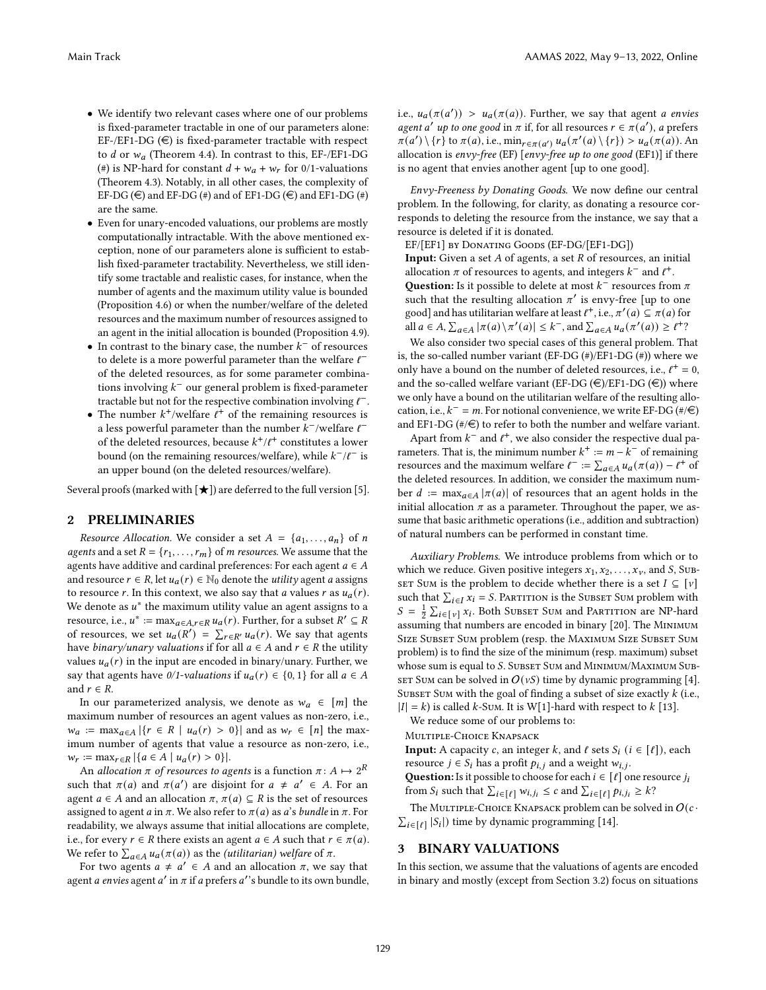- We identify two relevant cases where one of our problems is fixed-parameter tractable in one of our parameters alone: EF-/EF1-DG  $(\epsilon)$  is fixed-parameter tractable with respect to *d* or  $w_a$  (Theorem [4.4\)](#page-5-1). In contrast to this, EF-/EF1-DG (#) is NP-hard for constant  $d + w_a + w_r$  for 0/1-valuations (Theorem [4.3\)](#page-5-2). Notably, in all other cases, the complexity of EF-DG ( $\in$ ) and EF-DG (#) and of EF1-DG ( $\in$ ) and EF1-DG (#) are the same.
- Even for unary-encoded valuations, our problems are mostly computationally intractable. With the above mentioned exception, none of our parameters alone is sufficient to establish fixed-parameter tractability. Nevertheless, we still identify some tractable and realistic cases, for instance, when the number of agents and the maximum utility value is bounded (Proposition [4.6\)](#page-5-3) or when the number/welfare of the deleted resources and the maximum number of resources assigned to an agent in the initial allocation is bounded (Proposition [4.9\)](#page-6-0).
- In contrast to the binary case, the number  $k^-$  of resources to delete is a more powerful parameter than the welfare  $\ell^$ of the deleted resources, as for some parameter combinations involving  $k^-$  our general problem is fixed-parameter tractable but not for the respective combination involving  $l^-$ .
- The number  $k^+$ /welfare  $\ell^+$  of the remaining resources is a less powerful parameter than the number  $\bar{k}^-$ /welfare  $\ell^$ of the deleted resources, because  $k^+/\ell^+$  constitutes a lower bound (on the remaining resources/welfare), while  $k^{-}/\ell^{-}$  is an upper bound (on the deleted resources/welfare).

Several proofs (marked with  $[\star]$ ) are deferred to the full version [\[5\]](#page-8-17).

### 2 PRELIMINARIES

Resource Allocation. We consider a set  $A = \{a_1, \ldots, a_n\}$  of n agents and a set  $R = \{r_1, \ldots, r_m\}$  of *m resources*. We assume that the agents have additive and cardinal preferences: For each agent  $a \in A$ and resource  $r \in R$ , let  $u_a(r) \in \mathbb{N}_0$  denote the *utility* agent *a* assigns to resource r. In this context, we also say that *a* values r as  $u_a(r)$ . We denote as  $u^*$  the maximum utility value an agent assigns to a resource, i.e.,  $u^* := \max_{a \in A, r \in R} u_a(r)$ . Further, for a subset  $R' \subseteq R$ of resources, we set  $u_a(R') = \sum_{r \in R'} u_a(r)$ . We say that agents have *binary/unary valuations* if for all  $a \in A$  and  $r \in R$  the utility values  $u_a(r)$  in the input are encoded in binary/unary. Further, we say that agents have 0/1-valuations if  $u_a(r) \in \{0, 1\}$  for all  $a \in A$ and  $r \in R$ .

In our parameterized analysis, we denote as  $w_a \in [m]$  the maximum number of resources an agent values as non-zero, i.e.,  $w_a := \max_{a \in A} |\{r \in R \mid u_a(r) > 0\}|$  and as  $w_r \in [n]$  the maximum number of agents that value a resource as non-zero, i.e.,  $w_r := \max_{r \in R} |\{a \in A \mid u_a(r) > 0\}|.$ 

An allocation  $\pi$  of resources to agents is a function  $\pi: A \mapsto 2^R$ such that  $\pi(a)$  and  $\pi(a')$  are disjoint for  $a \neq a' \in A$ . For an agent  $a \in A$  and an allocation  $\pi$ ,  $\pi(a) \subseteq R$  is the set of resources assigned to agent *a* in  $\pi$ . We also refer to  $\pi(a)$  as *a*'s *bundle* in  $\pi$ . For readability, we always assume that initial allocations are complete, i.e., for every  $r \in R$  there exists an agent  $a \in A$  such that  $r \in \pi(a)$ . We refer to  $\sum_{a \in A} u_a(\pi(a))$  as the *(utilitarian)* welfare of  $\pi$ .

For two agents  $a \neq a' \in A$  and an allocation  $\pi$ , we say that agent *a envies* agent *a'* in  $\pi$  if *a* prefers *a'*'s bundle to its own bundle,

i.e.,  $u_a(\pi(a')) > u_a(\pi(a))$ . Further, we say that agent *a envies* agent a' up to one good in  $\pi$  if, for all resources  $r \in \pi(a')$ , a prefers  $\pi(a') \setminus \{r\}$  to  $\pi(a)$ , i.e.,  $\min_{r \in \pi(a')} u_a(\pi'(a) \setminus \{r\}) > u_a(\pi(a))$ . An allocation is envy-free (EF) [envy-free up to one good (EF1)] if there is no agent that envies another agent [up to one good].

Envy-Freeness by Donating Goods. We now define our central problem. In the following, for clarity, as donating a resource corresponds to deleting the resource from the instance, we say that a resource is deleted if it is donated.

EF/[EF1] by Donating Goods (EF-DG/[EF1-DG])

**Input:** Given a set  $A$  of agents, a set  $R$  of resources, an initial allocation  $\pi$  of resources to agents, and integers  $k^-$  and  $\ell^+$ .

**Question:** Is it possible to delete at most  $k^-$  resources from  $\pi$ such that the resulting allocation  $\pi'$  is envy-free [up to one good] and has utilitarian welfare at least  $\ell^+$ , i.e.,  $\pi'(a) \subseteq \pi(a)$  for all  $a \in A$ ,  $\sum_{a \in A} |\pi(a) \setminus \pi'(a)| \leq k^-$ , and  $\sum_{a \in A} u_a(\pi'(a)) \geq \ell^+$ ?

We also consider two special cases of this general problem. That is, the so-called number variant (EF-DG (#)/EF1-DG (#)) where we only have a bound on the number of deleted resources, i.e.,  $l^+ = 0$ , and the so-called welfare variant (EF-DG ( $\in$ )/EF1-DG ( $\in$ )) where we only have a bound on the utilitarian welfare of the resulting allocation, i.e.,  $k^- = m$ . For notional convenience, we write EF-DG (#/ $\in$ ) and EF1-DG ( $\#$ / $\in$ ) to refer to both the number and welfare variant.

Apart from  $k^-$  and  $\ell^+$ , we also consider the respective dual parameters. That is, the minimum number  $k^+ := m - k^-$  of remaining resources and the maximum welfare  $\ell^- := \sum_{a \in A} u_a(\pi(a)) - \ell^+$  of the deleted resources. In addition, we consider the maximum number  $d := \max_{a \in A} |\pi(a)|$  of resources that an agent holds in the initial allocation  $\pi$  as a parameter. Throughout the paper, we assume that basic arithmetic operations (i.e., addition and subtraction) of natural numbers can be performed in constant time.

<span id="page-2-1"></span>Auxiliary Problems. We introduce problems from which or to which we reduce. Given positive integers  $x_1, x_2, \ldots, x_{\nu}$ , and S, Sub-SET SUM is the problem to decide whether there is a set  $I \subseteq [v]$ such that  $\sum_{i \in I} x_i = S$ . PARTITION is the SUBSET SUM problem with  $S = \frac{1}{2} \sum_{i \in [v]} x_i$ . Both Subset Sum and PARTITION are NP-hard assuming that numbers are encoded in binary [\[20\]](#page-8-18). The Minimum SIZE SUBSET SUM problem (resp. the MAXIMUM SIZE SUBSET SUM problem) is to find the size of the minimum (resp. maximum) subset whose sum is equal to S. SUBSET SUM and MINIMUM/MAXIMUM SUB-SET SUM can be solved in  $O(vS)$  time by dynamic programming [\[4\]](#page-8-19). SUBSET SUM with the goal of finding a subset of size exactly  $k$  (i.e.,  $|I| = k$ ) is called  $k$ -Sum. It is W[1]-hard with respect to  $k$  [\[13\]](#page-8-20).

We reduce some of our problems to:

Multiple-Choice Knapsack

**Input:** A capacity c, an integer k, and  $\ell$  sets  $S_i$  ( $i \in [\ell]$ ), each resource  $j \in S_i$  has a profit  $p_{i,j}$  and a weight  $w_{i,j}$ .

**Question:** Is it possible to choose for each  $i \in [\ell]$  one resource  $j_i$ from  $S_i$  such that  $\sum_{i \in [\ell]} w_{i,j_i} \leq c$  and  $\sum_{i \in [\ell]} p_{i,j_i} \geq k$ ?

The MULTIPLE-CHOICE KNAPSACK problem can be solved in  $O(c \cdot$  $\sum_{i \in [l]} |S_i|$ ) time by dynamic programming [\[14\]](#page-8-21).

#### <span id="page-2-0"></span>3 BINARY VALUATIONS

In this section, we assume that the valuations of agents are encoded in binary and mostly (except from Section [3.2\)](#page-4-5) focus on situations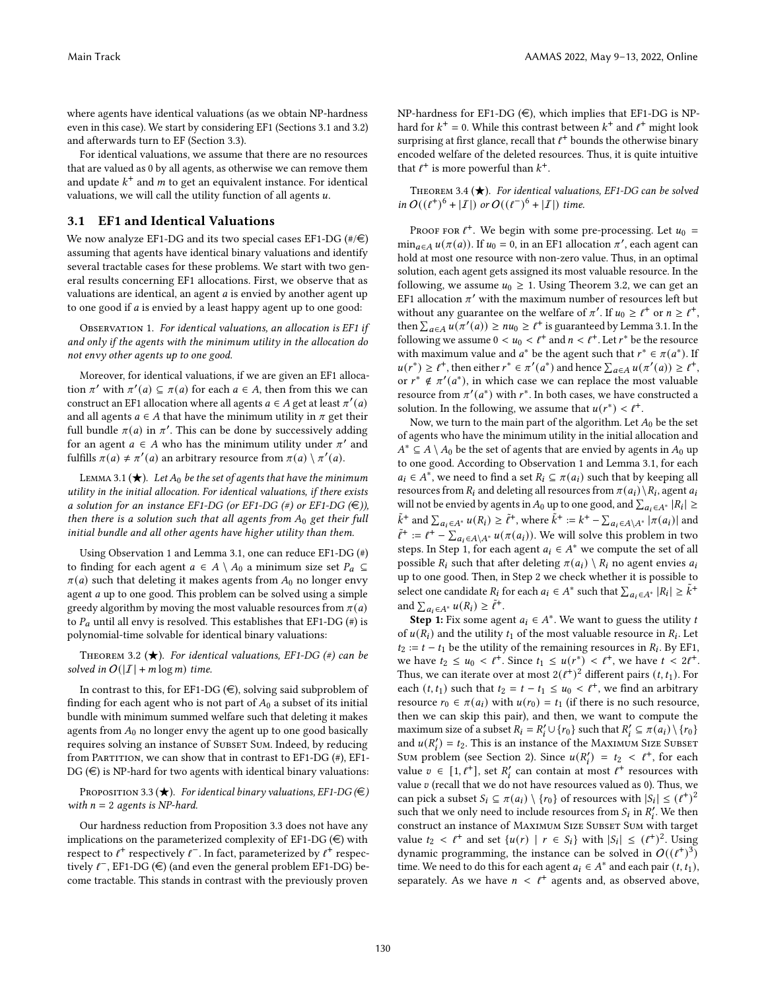where agents have identical valuations (as we obtain NP-hardness even in this case). We start by considering EF1 (Sections [3.1](#page-3-3) and [3.2\)](#page-4-5) and afterwards turn to EF (Section [3.3\)](#page-4-6).

For identical valuations, we assume that there are no resources that are valued as 0 by all agents, as otherwise we can remove them and update  $k^+$  and  $m$  to get an equivalent instance. For identical valuations, we will call the utility function of all agents  $u$ .

# <span id="page-3-3"></span>3.1 EF1 and Identical Valuations

We now analyze EF1-DG and its two special cases EF1-DG  $(\#/\in)$ assuming that agents have identical binary valuations and identify several tractable cases for these problems. We start with two general results concerning EF1 allocations. First, we observe that as valuations are identical, an agent  $a$  is envied by another agent up to one good if  $a$  is envied by a least happy agent up to one good:

<span id="page-3-4"></span>OBSERVATION 1. For identical valuations, an allocation is EF1 if and only if the agents with the minimum utility in the allocation do not envy other agents up to one good.

Moreover, for identical valuations, if we are given an EF1 allocation  $\pi'$  with  $\pi'(a) \subseteq \pi(a)$  for each  $a \in A$ , then from this we can construct an EF1 allocation where all agents  $a \in A$  get at least  $\pi'(a)$ and all agents  $a \in A$  that have the minimum utility in  $\pi$  get their full bundle  $\pi(a)$  in  $\pi'$ . This can be done by successively adding for an agent  $a \in A$  who has the minimum utility under  $\pi'$  and fulfills  $\pi(a) \neq \pi'(a)$  an arbitrary resource from  $\pi(a) \setminus \pi'(a)$ .

<span id="page-3-5"></span>LEMMA 3.1 ( $\bigstar$ ). Let  $A_0$  be the set of agents that have the minimum utility in the initial allocation. For identical valuations, if there exists a solution for an instance EF1-DG (or EF1-DG  $(\#)$  or EF1-DG  $(\#)$ ), then there is a solution such that all agents from  $A_0$  get their full initial bundle and all other agents have higher utility than them.

Using Observation [1](#page-3-4) and Lemma [3.1,](#page-3-5) one can reduce EF1-DG (#) to finding for each agent  $a \in A \setminus A_0$  a minimum size set  $P_a \subseteq$  $\pi(a)$  such that deleting it makes agents from  $A_0$  no longer envy agent  $a$  up to one good. This problem can be solved using a simple greedy algorithm by moving the most valuable resources from  $\pi(a)$ to  $P_a$  until all envy is resolved. This establishes that EF1-DG (#) is polynomial-time solvable for identical binary valuations:

<span id="page-3-0"></span>THEOREM 3.2 ( $\bigstar$ ). For identical valuations, EF1-DG (#) can be solved in  $O(|I| + m \log m)$  time.

In contrast to this, for EF1-DG  $(\in)$ , solving said subproblem of finding for each agent who is not part of  $A_0$  a subset of its initial bundle with minimum summed welfare such that deleting it makes agents from  $A_0$  no longer envy the agent up to one good basically requires solving an instance of SUBSET SUM. Indeed, by reducing from PARTITION, we can show that in contrast to  $E$ F1-DG  $(\#)$ ,  $E$ F1- $DG \left(\in \right)$  is NP-hard for two agents with identical binary valuations:

<span id="page-3-1"></span>PROPOSITION 3.3 ( $\bigstar$ ). For identical binary valuations, EF1-DG ( $\in$ ) with  $n = 2$  agents is NP-hard.

Our hardness reduction from Proposition [3.3](#page-3-1) does not have any implications on the parameterized complexity of EF1-DG  $(\in)$  with respect to  $l^+$  respectively  $l^-$ . In fact, parameterized by  $l^+$  respectively  $\ell^-$ , EF1-DG ( $\in$ ) (and even the general problem EF1-DG) become tractable. This stands in contrast with the previously proven

NP-hardness for EF1-DG  $(\in)$ , which implies that EF1-DG is NPhard for  $k^+ = 0$ . While this contrast between  $k^+$  and  $\ell^+$  might look surprising at first glance, recall that  $\ell^+$  bounds the otherwise binary encoded welfare of the deleted resources. Thus, it is quite intuitive that  $\ell^+$  is more powerful than  $k^+$ .

<span id="page-3-2"></span>THEOREM 3.4  $(\star)$ . For identical valuations, EF1-DG can be solved in  $O((\ell^+)^6 + |I|)$  or  $O((\ell^-)^6 + |I|)$  time.

PROOF FOR  $l^+$ . We begin with some pre-processing. Let  $u_0 =$  $\min_{a \in A} u(\pi(a))$ . If  $u_0 = 0$ , in an EF1 allocation  $\pi'$ , each agent can hold at most one resource with non-zero value. Thus, in an optimal solution, each agent gets assigned its most valuable resource. In the following, we assume  $u_0 \geq 1$ . Using Theorem [3.2,](#page-3-0) we can get an EF1 allocation  $\pi'$  with the maximum number of resources left but without any guarantee on the welfare of  $\pi'$ . If  $u_0 \geq \ell^+$  or  $n \geq \ell^+$ , then  $\sum_{a \in A} u(\pi'(a)) \geq nu_0 \geq \ell^+$  is guaranteed by Lemma [3.1.](#page-3-5) In the following we assume  $0 < u_0 < \ell^+$  and  $n < \ell^+$ . Let  $r^*$  be the resource with maximum value and  $a^*$  be the agent such that  $r^* \in \pi(a^*)$ . If  $u(r^*) \geq t^+$ , then either  $r^* \in \pi'(a^*)$  and hence  $\sum_{a \in A} u(\pi'(a)) \geq t^+$ , or  $r^* \notin \pi'(a^*)$ , in which case we can replace the most valuable resource from  $\pi'(a^*)$  with  $r^*$ . In both cases, we have constructed a solution. In the following, we assume that  $u(r^*) < t^+$ .

Now, we turn to the main part of the algorithm. Let  $A_0$  be the set of agents who have the minimum utility in the initial allocation and  $A^*$  ⊆  $A \setminus A_0$  be the set of agents that are envied by agents in  $A_0$  up to one good. According to Observation [1](#page-3-4) and Lemma [3.1,](#page-3-5) for each  $a_i \in A^*$ , we need to find a set  $R_i \subseteq \pi(a_i)$  such that by keeping all resources from  $R_i$  and deleting all resources from  $\pi(a_i)\setminus R_i$ , agent  $a_i$ will not be envied by agents in  $A_0$  up to one good, and  $\sum_{a_i \in A^*} |R_i| \ge$  $\tilde{k}^+$  and  $\sum_{a_i \in A^*} u(R_i) \geq \tilde{\ell}^+$ , where  $\tilde{k}^+ := k^+ - \sum_{a_i \in A \setminus A^*} |\pi(a_i)|$  and  $\tilde{\ell}^+ := \ell^+ - \sum_{a_i \in A \setminus A^*} u(\pi(a_i))$ . We will solve this problem in two steps. In Step 1, for each agent  $a_i \in A^*$  we compute the set of all possible  $R_i$  such that after deleting  $\pi(a_i) \setminus R_i$  no agent envies  $a_i$ up to one good. Then, in Step 2 we check whether it is possible to select one candidate  $R_i$  for each  $a_i \in A^*$  such that  $\sum_{a_i \in A^*} |R_i| \geq \tilde{k}^+$ and  $\sum_{a_i \in A^*} u(R_i) \geq \tilde{\ell}^+$ .

**Step 1:** Fix some agent  $a_i \in A^*$ . We want to guess the utility *t* of  $u(R_i)$  and the utility  $t_1$  of the most valuable resource in  $R_i$ . Let  $t_2 := t - t_1$  be the utility of the remaining resources in  $R_i$ . By EF1, we have  $t_2 \le u_0 < \ell^+$ . Since  $t_1 \le u(r^*) < \ell^+$ , we have  $t < 2\ell^+$ . Thus, we can iterate over at most  $2(\ell^{\dot{+}})^2$  different pairs  $(t,t_1)$ . For each  $(t, t_1)$  such that  $t_2 = t - t_1 \le u_0 < t^+$ , we find an arbitrary resource  $r_0 \in \pi(a_i)$  with  $u(r_0) = t_1$  (if there is no such resource, then we can skip this pair), and then, we want to compute the maximum size of a subset  $R_i = R'_i \cup \{r_0\}$  such that  $R'_i \subseteq \pi(a_i) \setminus \{r_0\}$ and  $u(R'_i) = t_2$ . This is an instance of the MAXIMUM SIZE SUBSET Sum problem (see Section [2\)](#page-2-1). Since  $u(R'_i) = t_2 < l^+$ , for each value  $v \in [1, \ell^+]$ , set  $R'_i$  can contain at most  $\ell^+$  resources with value  $v$  (recall that we do not have resources valued as 0). Thus, we can pick a subset  $S_i \subseteq \pi(a_i) \setminus \{r_0\}$  of resources with  $|S_i| \leq (l^+)^2$ such that we only need to include resources from  $S_i$  in  $R'_i$ . We then construct an instance of MAXIMUM SIZE SUBSET SUM with target value  $t_2 < \ell^+$  and set  $\{u(r) \mid r \in S_i\}$  with  $|S_i| \leq (\ell^+)^2$ . Using dynamic programming, the instance can be solved in  $O((t^+)^3)$ time. We need to do this for each agent  $a_i \in A^*$  and each pair  $(t, t_1)$ , separately. As we have  $n < l^+$  agents and, as observed above,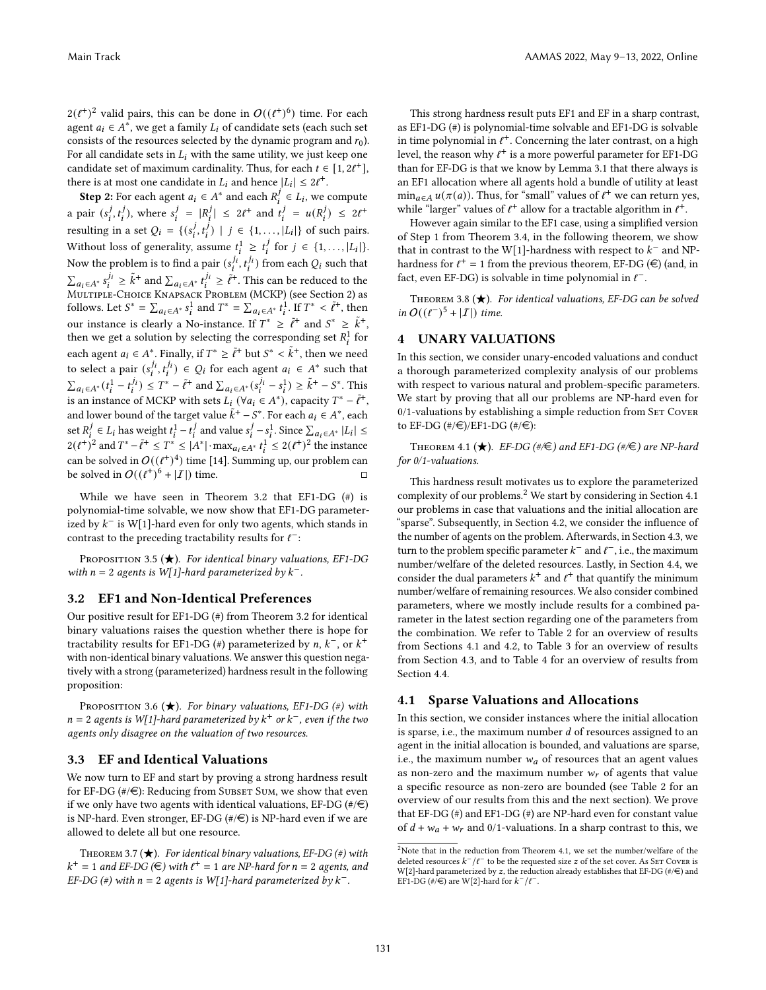$2(\ell^+)^2$  valid pairs, this can be done in  $O((\ell^+)^6)$  time. For each agent  $a_i \in A^*$ , we get a family  $L_i$  of candidate sets (each such set consists of the resources selected by the dynamic program and  $r_0$ ). For all candidate sets in  $L_i$  with the same utility, we just keep one candidate set of maximum cardinality. Thus, for each  $t \in [1, 2\ell^+]$ , there is at most one candidate in  $L_i$  and hence  $|L_i| \leq 2\ell^+$ .

**Step 2:** For each agent  $a_i \in A^*$  and each  $R_i^j \in L_i$ , we compute a pair  $(s_i^j, t_i^j)$ , where  $s_i^j = |R_i^j| \leq 2t^+$  and  $t_i^j = u(R_i^j) \leq 2t^+$ resulting in a set  $Q_i = \{(s_i^j, t_i^j) \mid j \in \{1, ..., |L_i|\}\)$  of such pairs. Without loss of generality, assume  $t_i^1 \geq t_i^j$  for  $j \in \{1, ..., |L_i|\}$ . Now the problem is to find a pair  $(s_i^{j_i}, t_i^{j_i})$  from each  $Q_i$  such that  $\sum_{a_i \in A^*} s_i^{\hat{j}_i} \geq \tilde{k}^+$  and  $\sum_{a_i \in A^*} t_i^{\hat{j}_i} \geq \tilde{\ell}^+$ . This can be reduced to the Multiple-Choice Knapsack Problem (MCKP) (see Section [2\)](#page-2-1) as follows. Let  $S^* = \sum_{a_i \in A^*} s_i^1$  and  $T^* = \sum_{a_i \in A^*} t_i^1$ . If  $T^* < \tilde{\ell}^+$ , then our instance is clearly a No-instance. If  $T^* \geq \tilde{\ell}^+$  and  $S^* \geq \tilde{k}^+$ , then we get a solution by selecting the corresponding set  $R_i^1$  for each agent  $a_i \in A^*$ . Finally, if  $T^* \geq \tilde{\ell}^+$  but  $S^* < \tilde{k}^+$ , then we need to select a pair  $(s_i^{j_i}, t_i^{j_i}) \in Q_i$  for each agent  $a_i \in A^*$  such that  $\sum_{a_i \in A^*} (t_i^1 - t_i^{j_1}) \le T^* - \tilde{\ell}^+$  and  $\sum_{a_i \in A^*} (s_i^{j_i} - s_i^1) \ge \tilde{k}^+ - S^*$ . This is an instance of MCKP with sets  $L_i$  ( $\forall a_i \in A^*$ ), capacity  $T^* - \tilde{t}^+$ , and lower bound of the target value  $\tilde{k}^+ - S^*$ . For each  $a_i \in A^*$ , each set  $R_i^j \in L_i$  has weight  $t_i^1 - t_i^j$  and value  $s_i^j - s_i^1$ . Since  $\sum_{a_i \in A^*} |L_i| \le$  $2(\ell^+)^2$  and  $T^* - \tilde{\ell}^+ \leq T^* \leq |A^*| \cdot \max_{a_i \in A^*} t_i^1 \leq 2(\ell^+)^2$  the instance can be solved in  $O((\ell^+)^4)$  time [\[14\]](#page-8-21). Summing up, our problem can be solved in  $O((\ell^+)^6 + |\mathcal{I}|)$  time.  $\square$ 

While we have seen in Theorem [3.2](#page-3-0) that EF1-DG (#) is polynomial-time solvable, we now show that EF1-DG parameterized by  $k^-$  is W[1]-hard even for only two agents, which stands in contrast to the preceding tractability results for  $\ell^-$ :

<span id="page-4-2"></span>PROPOSITION 3.5  $(\bigstar)$ . For identical binary valuations, EF1-DG with  $n = 2$  agents is W[1]-hard parameterized by  $k^-$ .

### <span id="page-4-5"></span>3.2 EF1 and Non-Identical Preferences

Our positive result for EF1-DG (#) from Theorem [3.2](#page-3-0) for identical binary valuations raises the question whether there is hope for tractability results for EF1-DG (#) parameterized by *n*,  $k^-$  or  $k^+$ with non-identical binary valuations. We answer this question negatively with a strong (parameterized) hardness result in the following proposition:

<span id="page-4-1"></span>PROPOSITION 3.6 ( $\bigstar$ ). For binary valuations, EF1-DG (#) with  $n = 2$  agents is W[1]-hard parameterized by  $k^+$  or  $k^-$ , even if the two agents only disagree on the valuation of two resources.

## <span id="page-4-6"></span>3.3 EF and Identical Valuations

We now turn to EF and start by proving a strong hardness result for EF-DG  $(\#/\in)$ : Reducing from SUBSET SUM, we show that even if we only have two agents with identical valuations, EF-DG  $(\#/\epsilon)$ is NP-hard. Even stronger, EF-DG  $(\#/\in)$  is NP-hard even if we are allowed to delete all but one resource.

<span id="page-4-3"></span>THEOREM 3.7 ( $\bigstar$ ). For identical binary valuations, EF-DG (#) with  $k^+ = 1$  and EF-DG ( $\in$ ) with  $\ell^+ = 1$  are NP-hard for  $n = 2$  agents, and EF-DG (#) with  $n = 2$  agents is W[1]-hard parameterized by  $k^-$ .

This strong hardness result puts EF1 and EF in a sharp contrast, as EF1-DG (#) is polynomial-time solvable and EF1-DG is solvable in time polynomial in  $l^+$ . Concerning the later contrast, on a high level, the reason why  $\ell^+$  is a more powerful parameter for EF1-DG than for EF-DG is that we know by Lemma [3.1](#page-3-5) that there always is an EF1 allocation where all agents hold a bundle of utility at least  $\min_{a \in A} u(\pi(a))$ . Thus, for "small" values of  $\ell^+$  we can return yes, while "larger" values of  $\ell^+$  allow for a tractable algorithm in  $\ell^+$ .

However again similar to the EF1 case, using a simplified version of Step 1 from Theorem [3.4,](#page-3-2) in the following theorem, we show that in contrast to the W[1]-hardness with respect to  $k^-$  and NPhardness for  $\ell^+ = 1$  from the previous theorem, EF-DG ( $\in$ ) (and, in fact, even EF-DG) is solvable in time polynomial in  $\ell^-$ .

<span id="page-4-4"></span>THEOREM 3.8  $(\star)$ . For identical valuations, EF-DG can be solved in  $O((\ell^-)^5 + |I|)$  time.

## <span id="page-4-0"></span>4 UNARY VALUATIONS

In this section, we consider unary-encoded valuations and conduct a thorough parameterized complexity analysis of our problems with respect to various natural and problem-specific parameters. We start by proving that all our problems are NP-hard even for  $0/1$ -valuations by establishing a simple reduction from SET COVER to EF-DG  $(\#/\infty)/\text{EF1-DG } (\#/\infty)$ :

<span id="page-4-9"></span>THEOREM 4.1 ( $\bigstar$ ). EF-DG (#/ $\in$ ) and EF1-DG (#/ $\in$ ) are NP-hard for 0/1-valuations.

This hardness result motivates us to explore the parameterized complexity of our problems.[2](#page-4-7) We start by considering in Section [4.1](#page-4-8) our problems in case that valuations and the initial allocation are "sparse". Subsequently, in Section [4.2,](#page-5-4) we consider the influence of the number of agents on the problem. Afterwards, in Section [4.3,](#page-6-1) we turn to the problem specific parameter  $k^-$  and  $\ell^-$ , i.e., the maximum number/welfare of the deleted resources. Lastly, in Section [4.4,](#page-7-1) we consider the dual parameters  $k^+$  and  $\ell^+$  that quantify the minimum number/welfare of remaining resources. We also consider combined parameters, where we mostly include results for a combined parameter in the latest section regarding one of the parameters from the combination. We refer to Table [2](#page-5-0) for an overview of results from Sections [4.1](#page-4-8) and [4.2,](#page-5-4) to Table [3](#page-6-2) for an overview of results from Section [4.3,](#page-6-1) and to Table [4](#page-7-0) for an overview of results from Section [4.4.](#page-7-1)

# <span id="page-4-8"></span>4.1 Sparse Valuations and Allocations

In this section, we consider instances where the initial allocation is sparse, i.e., the maximum number  $d$  of resources assigned to an agent in the initial allocation is bounded, and valuations are sparse, i.e., the maximum number  $w_a$  of resources that an agent values as non-zero and the maximum number  $w_r$  of agents that value a specific resource as non-zero are bounded (see Table [2](#page-5-0) for an overview of our results from this and the next section). We prove that EF-DG (#) and EF1-DG (#) are NP-hard even for constant value of  $d + w_a + w_r$  and 0/1-valuations. In a sharp contrast to this, we

<span id="page-4-7"></span> $^2$  Note that in the reduction from Theorem [4.1,](#page-4-9) we set the number/welfare of the deleted resources  $k^-/\ell^-$  to be the requested size  $z$  of the set cover. As SET COVER is W[2]-hard parameterized by  $z$ , the reduction already establishes that EF-DG (#/ $\in$ ) and EF1-DG (# $\sqrt{f}$ ) are W[2]-hard for  $k^{-}/\ell^{-}$ .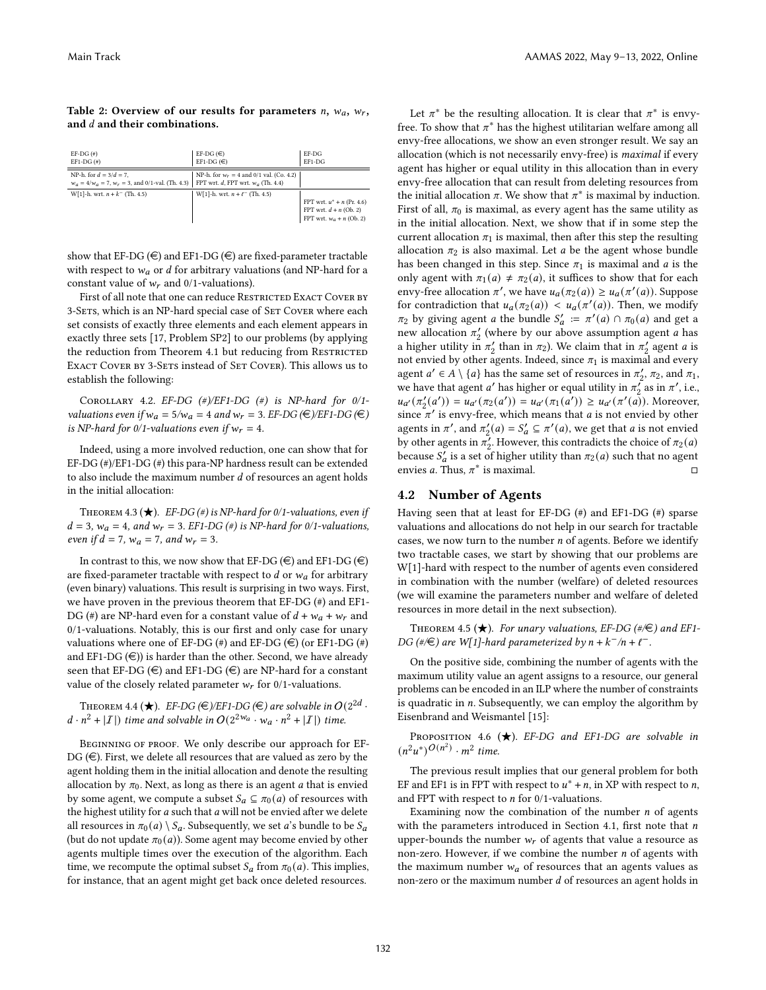#### <span id="page-5-0"></span>Table 2: Overview of our results for parameters  $n$ ,  $w_a$ ,  $w_r$ , and  $d$  and their combinations.

| $EF-DG(*)$<br>$EF1-DG$ $($ # $)$                                                                                         | EF-DG $(\in)$<br>EF1-DG $(\in)$            | $EF-DG$<br>EF1-DG                                                                      |
|--------------------------------------------------------------------------------------------------------------------------|--------------------------------------------|----------------------------------------------------------------------------------------|
| NP-h. for $d = 3/d = 7$ .<br>$w_a = 4/w_a = 7$ , $w_r = 3$ , and 0/1-val. (Th. 4.3) FPT wrt. d, FPT wrt. $w_a$ (Th. 4.4) | NP-h. for $w_r = 4$ and 0/1 val. (Co. 4.2) |                                                                                        |
| $W[1]-h$ . wrt. $n + k^{-}$ (Th. 4.5)                                                                                    | $W[1]-h$ . wrt. $n + \ell^{-}$ (Th. 4.5)   | FPT wrt. $u^* + n$ (Pr. 4.6)<br>FPT wrt. $d + n$ (Ob. 2)<br>FPT wrt. $w_a + n$ (Ob. 2) |

show that EF-DG  $(\in)$  and EF1-DG  $(\in)$  are fixed-parameter tractable with respect to  $w_a$  or d for arbitrary valuations (and NP-hard for a constant value of  $w_r$  and 0/1-valuations).

First of all note that one can reduce RESTRICTED EXACT COVER BY 3-SETS, which is an NP-hard special case of SET COVER where each set consists of exactly three elements and each element appears in exactly three sets [\[17,](#page-8-22) Problem SP2] to our problems (by applying the reduction from Theorem [4.1](#page-4-9) but reducing from RESTRICTED EXACT COVER BY 3-SETS instead of SET COVER). This allows us to establish the following:

<span id="page-5-5"></span>COROLLARY 4.2. EF-DG  $(\#)/E$ F1-DG  $(\#)$  is NP-hard for 0/1valuations even if  $w_a = 5/w_a = 4$  and  $w_r = 3$ . EF-DG ( $\bigoplus$ )/EF1-DG ( $\bigoplus$ ) is NP-hard for 0/1-valuations even if  $w_r = 4$ .

Indeed, using a more involved reduction, one can show that for EF-DG (#)/EF1-DG (#) this para-NP hardness result can be extended to also include the maximum number  $d$  of resources an agent holds in the initial allocation:

<span id="page-5-2"></span>THEOREM 4.3 ( $\bigstar$ ). EF-DG (#) is NP-hard for 0/1-valuations, even if  $d = 3$ ,  $w_a = 4$ , and  $w_r = 3$ . EF1-DG (#) is NP-hard for 0/1-valuations, even if  $d = 7$ ,  $w_a = 7$ , and  $w_r = 3$ .

In contrast to this, we now show that EF-DG ( $\in$ ) and EF1-DG ( $\in$ ) are fixed-parameter tractable with respect to  $d$  or  $w_a$  for arbitrary (even binary) valuations. This result is surprising in two ways. First, we have proven in the previous theorem that EF-DG (#) and EF1- DG (#) are NP-hard even for a constant value of  $d + w_a + w_r$  and 0/1-valuations. Notably, this is our first and only case for unary valuations where one of EF-DG  $(\#)$  and EF-DG  $(\#)$  (or EF1-DG  $(\#)$ ) and EF1-DG  $(\in)$ ) is harder than the other. Second, we have already seen that EF-DG ( $\in$ ) and EF1-DG ( $\in$ ) are NP-hard for a constant value of the closely related parameter  $w_r$  for 0/1-valuations.

<span id="page-5-1"></span>THEOREM 4.4 ( $\bigstar$ ). EF-DG (€)/EF1-DG (€) are solvable in  $O(2^{2d}$  .  $d \cdot n^2 + |{\mathcal{I}}|$  time and solvable in  $O(2^{2w_a} \cdot w_a \cdot n^2 + |{\mathcal{I}}|)$  time.

BEGINNING OF PROOF. We only describe our approach for EF-DG  $(\epsilon)$ . First, we delete all resources that are valued as zero by the agent holding them in the initial allocation and denote the resulting allocation by  $\pi_0$ . Next, as long as there is an agent  $a$  that is envied by some agent, we compute a subset  $S_a \subseteq \pi_0(a)$  of resources with the highest utility for  $a$  such that  $a$  will not be envied after we delete all resources in  $\pi_0(a) \setminus S_a$ . Subsequently, we set a's bundle to be  $S_a$ (but do not update  $\pi_0(a)$ ). Some agent may become envied by other agents multiple times over the execution of the algorithm. Each time, we recompute the optimal subset  $S_a$  from  $\pi_0(a)$ . This implies, for instance, that an agent might get back once deleted resources.

Let  $\pi^*$  be the resulting allocation. It is clear that  $\pi^*$  is envyfree. To show that  $\pi^*$  has the highest utilitarian welfare among all envy-free allocations, we show an even stronger result. We say an allocation (which is not necessarily envy-free) is maximal if every agent has higher or equal utility in this allocation than in every envy-free allocation that can result from deleting resources from the initial allocation  $\pi$ . We show that  $\pi^*$  is maximal by induction. First of all,  $\pi_0$  is maximal, as every agent has the same utility as in the initial allocation. Next, we show that if in some step the current allocation  $\pi_1$  is maximal, then after this step the resulting allocation  $\pi_2$  is also maximal. Let  $a$  be the agent whose bundle has been changed in this step. Since  $\pi_1$  is maximal and  $a$  is the only agent with  $\pi_1(a) \neq \pi_2(a)$ , it suffices to show that for each envy-free allocation  $\pi'$ , we have  $u_a(\pi_2(a)) \geq u_a(\pi'(a))$ . Suppose for contradiction that  $u_a(\pi_2(a)) < u_a(\pi'(a))$ . Then, we modify  $\pi_2$  by giving agent *a* the bundle  $S'_a := \pi'(a) \cap \pi_0(a)$  and get a new allocation  $\pi'_2$  (where by our above assumption agent *a* has a higher utility in  $\pi'_2$  than in  $\pi_2$ ). We claim that in  $\pi'_2$  agent a is not envied by other agents. Indeed, since  $\pi_1$  is maximal and every agent  $a' \in A \setminus \{a\}$  has the same set of resources in  $\pi'_2$ ,  $\pi_2$ , and  $\pi_1$ , we have that agent *a'* has higher or equal utility in  $\pi_2^{\prime}$  as in  $\pi'$ , i.e.,  $u_{a'}(\pi'_2(a')) = u_{a'}(\pi_2(a')) = u_{a'}(\pi_1(a')) \ge u_{a'}(\pi'(a))$ . Moreover, since  $\pi'$  is envy-free, which means that *a* is not envied by other agents in  $\pi'$ , and  $\pi'_2(a) = S'_a \subseteq \pi'(a)$ , we get that a is not envied by other agents in  $\pi'_2$ . However, this contradicts the choice of  $\pi_2(a)$ because  $S'_a$  is a set of higher utility than  $\pi_2(a)$  such that no agent envies a. Thus,  $\pi^*$  is maximal.  $\Box$ 

## <span id="page-5-4"></span>4.2 Number of Agents

Having seen that at least for EF-DG (#) and EF1-DG (#) sparse valuations and allocations do not help in our search for tractable cases, we now turn to the number  $n$  of agents. Before we identify two tractable cases, we start by showing that our problems are W[1]-hard with respect to the number of agents even considered in combination with the number (welfare) of deleted resources (we will examine the parameters number and welfare of deleted resources in more detail in the next subsection).

<span id="page-5-6"></span>THEOREM 4.5 ( $\bigstar$ ). For unary valuations, EF-DG (#/ $\in$ ) and EF1-DG (#/ $\in$ ) are W[1]-hard parameterized by  $n + k^{-}/n + \ell^{-}$ .

On the positive side, combining the number of agents with the maximum utility value an agent assigns to a resource, our general problems can be encoded in an ILP where the number of constraints is quadratic in  $n$ . Subsequently, we can employ the algorithm by Eisenbrand and Weismantel [\[15\]](#page-8-23):

<span id="page-5-3"></span>PROPOSITION 4.6  $\star$ ). EF-DG and EF1-DG are solvable in  $(n^2u^*)^{O(n^2)} \cdot m^2$  time.

The previous result implies that our general problem for both EF and EF1 is in FPT with respect to  $u^* + n$ , in XP with respect to *n*, and FPT with respect to  $n$  for 0/1-valuations.

Examining now the combination of the number  $n$  of agents with the parameters introduced in Section [4.1,](#page-4-8) first note that  $n$ upper-bounds the number  $w_r$  of agents that value a resource as non-zero. However, if we combine the number  $n$  of agents with the maximum number  $w_a$  of resources that an agents values as non-zero or the maximum number  $d$  of resources an agent holds in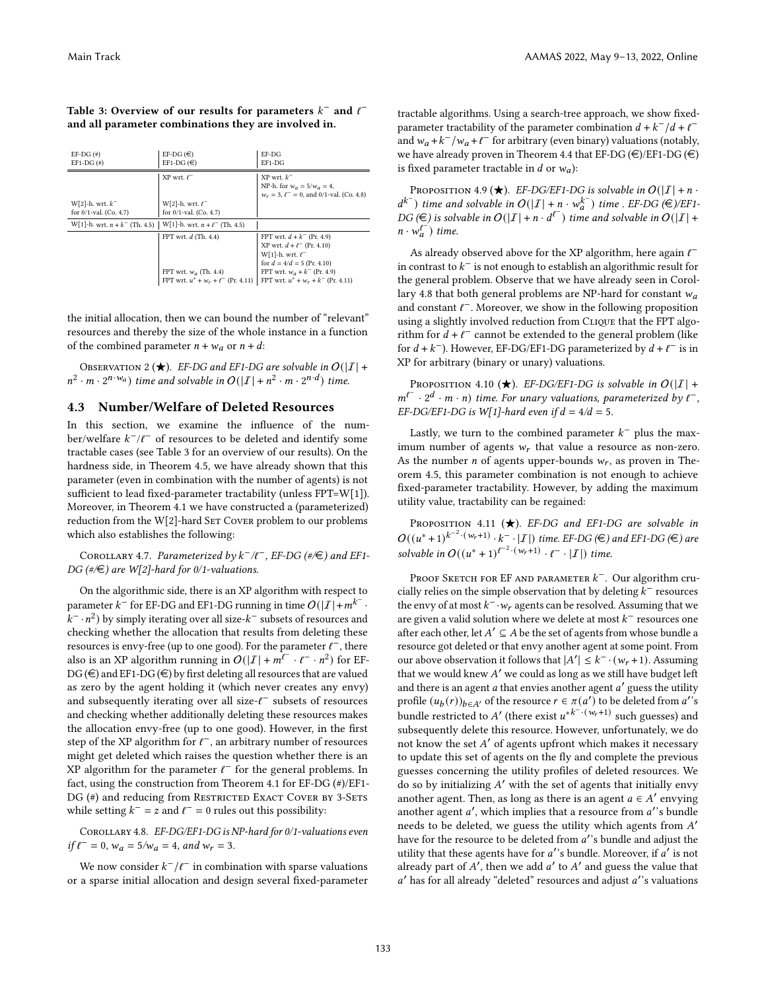# <span id="page-6-2"></span>Table 3: Overview of our results for parameters  $k^-$  and  $\ell^$ and all parameter combinations they are involved in.

| $EF-DG(*)$<br>$EF1-DG$ $($ # $)$ | $EF-DG(\epsilon)$<br>$EF1-DG(E)$                                           | EF-DG<br>$EF1-DG$                                 |
|----------------------------------|----------------------------------------------------------------------------|---------------------------------------------------|
|                                  | $XP$ wrt. $\ell^-$                                                         | $XP$ wrt. $k^-$<br>NP-h. for $w_a = 5/w_a = 4$ ,  |
|                                  |                                                                            | $w_r = 3$ , $\ell^- = 0$ , and 0/1-val. (Co. 4.8) |
| $W[2]-h$ . wrt. $k^-$            | W[2]-h. wrt. $\ell^-$                                                      |                                                   |
| for $0/1$ -val. (Co. 4.7)        | for $0/1$ -val. (Co. 4.7)                                                  |                                                   |
|                                  | W[1]-h. wrt. $n + k^{-}$ (Th. 4.5)   W[1]-h. wrt. $n + \ell^{-}$ (Th. 4.5) |                                                   |
|                                  | FPT wrt. $d$ (Th. 4.4)                                                     | FPT wrt. $d + k^{-}$ (Pr. 4.9)                    |
|                                  |                                                                            | $XP$ wrt. $d + \ell^{-}$ (Pr. 4.10)               |
|                                  |                                                                            | W[1]-h. wrt. $\ell^-$                             |
|                                  |                                                                            | for $d = 4/d = 5$ (Pr. 4.10)                      |
|                                  | FPT wrt. $w_a$ (Th. 4.4)                                                   | FPT wrt. $w_a + k^-$ (Pr. 4.9)                    |
|                                  | FPT wrt. $u^* + w_r + \ell^-$ (Pr. 4.11)                                   | FPT wrt. $u^* + w_r + k^-$ (Pr. 4.11)             |

the initial allocation, then we can bound the number of "relevant" resources and thereby the size of the whole instance in a function of the combined parameter  $n + w_a$  or  $n + d$ :

<span id="page-6-3"></span>OBSERVATION 2 ( $\bigstar$ ). EF-DG and EF1-DG are solvable in  $O(|I| +$  $n^2 \cdot m \cdot 2^{n \cdot w_a}$  time and solvable in  $O(|\mathcal{I}| + n^2 \cdot m \cdot 2^{n \cdot d})$  time.

# <span id="page-6-1"></span>4.3 Number/Welfare of Deleted Resources

In this section, we examine the influence of the number/welfare  $k^{-}/\ell^{-}$  of resources to be deleted and identify some tractable cases (see Table [3](#page-6-2) for an overview of our results). On the hardness side, in Theorem [4.5,](#page-5-6) we have already shown that this parameter (even in combination with the number of agents) is not sufficient to lead fixed-parameter tractability (unless FPT=W[1]). Moreover, in Theorem [4.1](#page-4-9) we have constructed a (parameterized) reduction from the W[2]-hard SET COVER problem to our problems which also establishes the following:

<span id="page-6-5"></span>COROLLARY 4.7. Parameterized by  $k^{-}/\ell^{-}$ , EF-DG (#/ $\in$ ) and EF1-DG (#/ $\bigoplus$ ) are W[2]-hard for 0/1-valuations.

On the algorithmic side, there is an XP algorithm with respect to parameter  $k^{-}$  for EF-DG and EF1-DG running in time  $O(|I| + m^{k^{-}})$ .  $(k^-, n^2)$  by simply iterating over all size- $k^-$  subsets of resources and checking whether the allocation that results from deleting these resources is envy-free (up to one good). For the parameter  $\ell^-$ , there also is an XP algorithm running in  $O(|\mathcal{I}| + m^{\ell^-} \cdot \ell^- \cdot n^2)$  for EF-DG ( $\in$ ) and EF1-DG ( $\in$ ) by first deleting all resources that are valued as zero by the agent holding it (which never creates any envy) and subsequently iterating over all size- $\ell^-$  subsets of resources and checking whether additionally deleting these resources makes the allocation envy-free (up to one good). However, in the first step of the XP algorithm for  $\ell^-$ , an arbitrary number of resources might get deleted which raises the question whether there is an XP algorithm for the parameter  $\ell^-$  for the general problems. In fact, using the construction from Theorem [4.1](#page-4-9) for EF-DG (#)/EF1- DG (#) and reducing from RESTRICTED EXACT COVER BY 3-SETS while setting  $k^- = z$  and  $\ell^- = 0$  rules out this possibility:

<span id="page-6-4"></span>Corollary 4.8. EF-DG/EF1-DG is NP-hard for 0/1-valuations even if  $\ell^- = 0$ ,  $w_a = 5/w_a = 4$ , and  $w_r = 3$ .

We now consider  $k^-/\ell^-$  in combination with sparse valuations or a sparse initial allocation and design several fixed-parameter tractable algorithms. Using a search-tree approach, we show fixedparameter tractability of the parameter combination  $d + k^{-}/d + \ell^{-}$ and  $w_a + k^-/w_a + \ell^-$  for arbitrary (even binary) valuations (notably, we have already proven in Theorem [4.4](#page-5-1) that EF-DG ( $\in$ )/EF1-DG ( $\in$ ) is fixed parameter tractable in d or  $w_a$ ):

<span id="page-6-0"></span>PROPOSITION 4.9 ( $\bigstar$ ). EF-DG/EF1-DG is solvable in  $O(|I| + n \cdot$  $d^{k^-}$ ) time and solvable in  $O(|I| + n \cdot w_a^{k^-})$  time . EF-DG  $(\epsilon)$ /EF1- $DG(\epsilon)$  is solvable in  $O(|I| + n \cdot d^{\ell})$  time and solvable in  $O(|I| +$  $n \cdot w_a^{\ell^-}$ ) time.

As already observed above for the XP algorithm, here again  $\ell^$ in contrast to  $k^-$  is not enough to establish an algorithmic result for the general problem. Observe that we have already seen in Corol-lary [4.8](#page-6-4) that both general problems are NP-hard for constant  $w_a$ and constant  $\ell^-$ . Moreover, we show in the following proposition using a slightly involved reduction from CLIQUE that the FPT algorithm for  $d + l^-$  cannot be extended to the general problem (like for  $d + k^-$ ). However, EF-DG/EF1-DG parameterized by  $d + \ell^-$  is in XP for arbitrary (binary or unary) valuations.

<span id="page-6-6"></span>PROPOSITION 4.10 ( $\bigstar$ ). EF-DG/EF1-DG is solvable in  $O(|\mathcal{I}| +$  $m^{\ell^-} \cdot 2^d \cdot m \cdot n$ ) time. For unary valuations, parameterized by  $\ell^-$ , EF-DG/EF1-DG is W[1]-hard even if  $d = 4/d = 5$ .

Lastly, we turn to the combined parameter  $k^-$  plus the maximum number of agents  $w_r$  that value a resource as non-zero. As the number *n* of agents upper-bounds  $w_r$ , as proven in Theorem [4.5,](#page-5-6) this parameter combination is not enough to achieve fixed-parameter tractability. However, by adding the maximum utility value, tractability can be regained:

<span id="page-6-7"></span>PROPOSITION 4.11 ( $\bigstar$ ). EF-DG and EF1-DG are solvable in  $O((u^*+1)^{k^{-2}\cdot(w_r+1)}\cdot k^{-}\cdot|I|)$  time. EF-DG  $(\in)$  and EF1-DG  $(\in)$  are solvable in  $O((u^* + 1)^{\ell^{-2} (w_r + 1)} \cdot \ell^{-} \cdot |\mathcal{I}|)$  time.

Proof Sketch for EF and parameter  $k^{\pm}$ . Our algorithm crucially relies on the simple observation that by deleting  $k^-$  resources the envy of at most  $k^{-1}w_r$  agents can be resolved. Assuming that we are given a valid solution where we delete at most  $k^-$  resources one after each other, let  $A' \subseteq A$  be the set of agents from whose bundle a resource got deleted or that envy another agent at some point. From our above observation it follows that  $|A'| \leq k^{-} \cdot (w_r + 1)$ . Assuming that we would knew  $A'$  we could as long as we still have budget left and there is an agent  $a$  that envies another agent  $a'$  guess the utility profile  $(u_b(r))_{b \in A'}$  of the resource  $r \in \pi(a')$  to be deleted from  $a''s$ bundle restricted to A' (there exist  $u^{*k^{-1}(w_r+1)}$  such guesses) and subsequently delete this resource. However, unfortunately, we do not know the set A' of agents upfront which makes it necessary to update this set of agents on the fly and complete the previous guesses concerning the utility profiles of deleted resources. We do so by initializing  $A'$  with the set of agents that initially envy another agent. Then, as long as there is an agent  $a \in A'$  envying another agent  $a'$ , which implies that a resource from  $a'$ 's bundle needs to be deleted, we guess the utility which agents from  $A'$ have for the resource to be deleted from a''s bundle and adjust the utility that these agents have for  $a$ ''s bundle. Moreover, if  $a'$  is not already part of  $A'$ , then we add  $a'$  to  $A'$  and guess the value that  $a'$  has for all already "deleted" resources and adjust  $a'$ 's valuations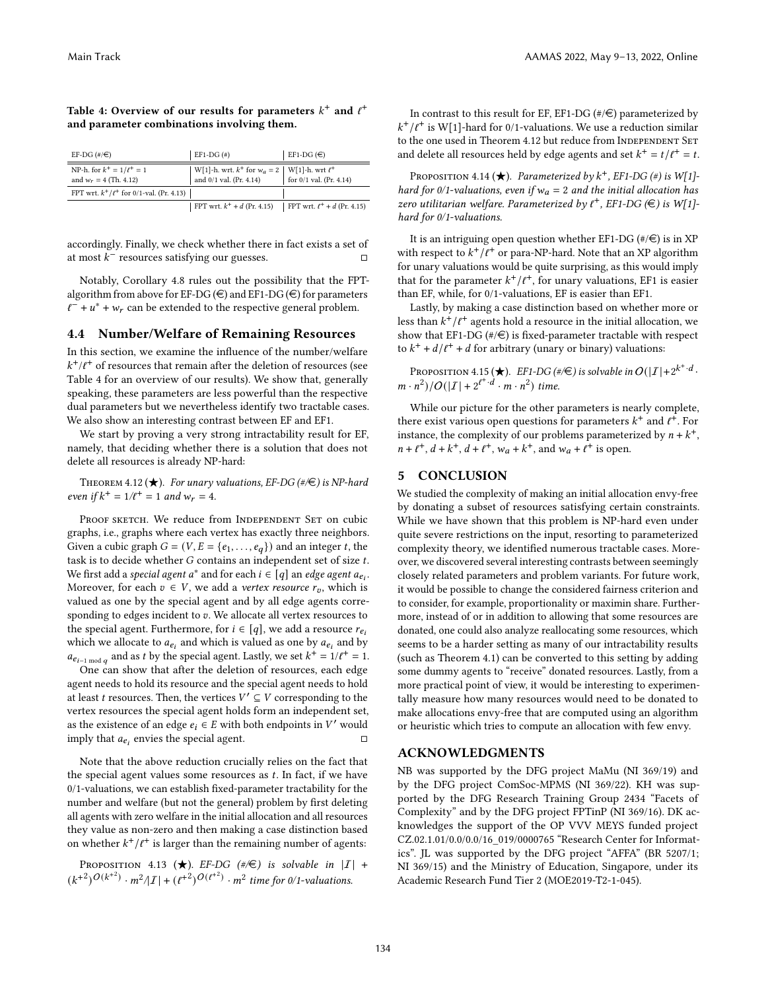| EF-DG $(\#/\in)$                                           | EF1-DG $(\#)$                                                                         | $EF1-DG(\epsilon)$               |
|------------------------------------------------------------|---------------------------------------------------------------------------------------|----------------------------------|
| NP-h. for $k^+ = 1/\ell^+ = 1$<br>and $w_r = 4$ (Th. 4.12) | W[1]-h. wrt. $k^+$ for $w_a=2~\big ~$ W[1]-h. wrt $\ell^+$<br>and 0/1 val. (Pr. 4.14) | for $0/1$ val. (Pr. 4.14)        |
| FPT wrt. $k^+/\ell^+$ for 0/1-val. (Pr. 4.13)              |                                                                                       |                                  |
|                                                            | FPT wrt. $k^+ + d$ (Pr. 4.15)                                                         | FPT wrt. $\ell^+$ + d (Pr. 4.15) |

<span id="page-7-0"></span>Table 4: Overview of our results for parameters  $k^+$  and  $\ell^+$ and parameter combinations involving them.

accordingly. Finally, we check whether there in fact exists a set of at most  $k^-$  resources satisfying our guesses.  $\Box$ 

Notably, Corollary [4.8](#page-6-4) rules out the possibility that the FPTalgorithm from above for EF-DG ( $\in$ ) and EF1-DG ( $\in$ ) for parameters  $\ell^- + u^* + w_r$  can be extended to the respective general problem.

#### <span id="page-7-1"></span>4.4 Number/Welfare of Remaining Resources

In this section, we examine the influence of the number/welfare  $k^+/\ell^+$  of resources that remain after the deletion of resources (see Table [4](#page-7-0) for an overview of our results). We show that, generally speaking, these parameters are less powerful than the respective dual parameters but we nevertheless identify two tractable cases. We also show an interesting contrast between EF and EF1.

We start by proving a very strong intractability result for EF, namely, that deciding whether there is a solution that does not delete all resources is already NP-hard:

<span id="page-7-2"></span>THEOREM 4.12 ( $\bigstar$ ). For unary valuations, EF-DG (#/ $\in$ ) is NP-hard even if  $k^+ = 1/\ell^+ = 1$  and  $w_r = 4$ .

PROOF SKETCH. We reduce from INDEPENDENT SET on cubic graphs, i.e., graphs where each vertex has exactly three neighbors. Given a cubic graph  $G = (V, E = \{e_1, \ldots, e_q\})$  and an integer t, the task is to decide whether  $G$  contains an independent set of size  $t$ . We first add a *special agent a*\* and for each  $i \in \overline{[q]}$  an *edge agent*  $a_{e_i}.$ Moreover, for each  $v \in V$ , we add a *vertex resource*  $r_v$ , which is valued as one by the special agent and by all edge agents corresponding to edges incident to  $v$ . We allocate all vertex resources to the special agent. Furthermore, for  $i \in [q]$ , we add a resource  $r_{e_i}$ which we allocate to  $a_{e_i}$  and which is valued as one by  $a_{e_i}$  and by  $a_{e_{i-1 \bmod q}}$  and as t by the special agent. Lastly, we set  $k^+ = 1/t^+ = 1$ .

One can show that after the deletion of resources, each edge agent needs to hold its resource and the special agent needs to hold at least *t* resources. Then, the vertices  $V' \subseteq V$  corresponding to the vertex resources the special agent holds form an independent set, as the existence of an edge  $e_i \in E$  with both endpoints in V' would imply that  $a_{e_i}$  envies the special agent.  $\Box$ 

Note that the above reduction crucially relies on the fact that the special agent values some resources as  $t$ . In fact, if we have 0/1-valuations, we can establish fixed-parameter tractability for the number and welfare (but not the general) problem by first deleting all agents with zero welfare in the initial allocation and all resources they value as non-zero and then making a case distinction based on whether  $k^+/\ell^+$  is larger than the remaining number of agents:

<span id="page-7-4"></span>PROPOSITION 4.13 ( $\bigstar$ ). EF-DG (#/ $\in$ ) is solvable in |I| +  $(k^{+2})^{O(k^{+2})} \cdot m^2 / |I| + (\ell^{+2})^{O(\ell^{+2})} \cdot m^2$  time for 0/1-valuations.

In contrast to this result for EF, EF1-DG ( $\#$ / $\in$ ) parameterized by  $k^+/\ell^+$  is W[1]-hard for 0/1-valuations. We use a reduction similar to the one used in Theorem [4.12](#page-7-2) but reduce from INDEPENDENT SET and delete all resources held by edge agents and set  $k^+ = t/\ell^+ = t$ .

<span id="page-7-3"></span>PROPOSITION 4.14 ( $\bigstar$ ). Parameterized by  $k^+$ , EF1-DG (#) is W[1]hard for 0/1-valuations, even if  $w_a = 2$  and the initial allocation has zero utilitarian welfare. Parameterized by  $\ell^+$ , EF1-DG  $(\in)$  is W[1]hard for 0/1-valuations.

It is an intriguing open question whether EF1-DG  $(\#/\in)$  is in XP with respect to  $k^+/\ell^+$  or para-NP-hard. Note that an XP algorithm for unary valuations would be quite surprising, as this would imply that for the parameter  $k^+/l^+$ , for unary valuations, EF1 is easier than EF, while, for 0/1-valuations, EF is easier than EF1.

Lastly, by making a case distinction based on whether more or less than  $k^+/\ell^+$  agents hold a resource in the initial allocation, we show that EF1-DG  $(\#/\in)$  is fixed-parameter tractable with respect to  $k^+ + d/\ell^+ + d$  for arbitrary (unary or binary) valuations:

<span id="page-7-5"></span>Proposition 4.15  $(\bigstar)$ . EF1-DG (#/E) is solvable in  $O(|\mathcal{I}|+2^{k^+ \cdot d}$  .  $(m \cdot n^2)/O(|\mathcal{I}| + 2^{l^+ \cdot d} \cdot m \cdot n^2)$  time.

While our picture for the other parameters is nearly complete, there exist various open questions for parameters  $k^+$  and  $\ell^+$ . For instance, the complexity of our problems parameterized by  $n + k^{+}$ ,  $n + \ell^+, d + k^+, d + \ell^+, w_a + k^+, \text{ and } w_a + \ell^+ \text{ is open.}$ 

# 5 CONCLUSION

We studied the complexity of making an initial allocation envy-free by donating a subset of resources satisfying certain constraints. While we have shown that this problem is NP-hard even under quite severe restrictions on the input, resorting to parameterized complexity theory, we identified numerous tractable cases. Moreover, we discovered several interesting contrasts between seemingly closely related parameters and problem variants. For future work, it would be possible to change the considered fairness criterion and to consider, for example, proportionality or maximin share. Furthermore, instead of or in addition to allowing that some resources are donated, one could also analyze reallocating some resources, which seems to be a harder setting as many of our intractability results (such as Theorem [4.1\)](#page-4-9) can be converted to this setting by adding some dummy agents to "receive" donated resources. Lastly, from a more practical point of view, it would be interesting to experimentally measure how many resources would need to be donated to make allocations envy-free that are computed using an algorithm or heuristic which tries to compute an allocation with few envy.

# ACKNOWLEDGMENTS

NB was supported by the DFG project MaMu (NI 369/19) and by the DFG project ComSoc-MPMS (NI 369/22). KH was supported by the DFG Research Training Group 2434 "Facets of Complexity" and by the DFG project FPTinP (NI 369/16). DK acknowledges the support of the OP VVV MEYS funded project CZ.02.1.01/0.0/0.0/16\_019/0000765 "Research Center for Informatics". JL was supported by the DFG project "AFFA" (BR 5207/1; NI 369/15) and the Ministry of Education, Singapore, under its Academic Research Fund Tier 2 (MOE2019-T2-1-045).